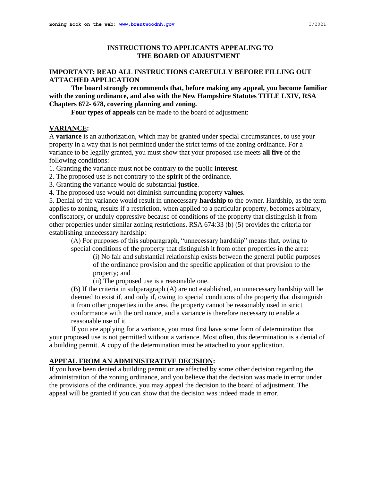# **INSTRUCTIONS TO APPLICANTS APPEALING TO THE BOARD OF ADJUSTMENT**

# **IMPORTANT: READ ALL INSTRUCTIONS CAREFULLY BEFORE FILLING OUT ATTACHED APPLICATION**

**The board strongly recommends that, before making any appeal, you become familiar with the zoning ordinance, and also with the New Hampshire Statutes TITLE LXIV, RSA Chapters 672- 678, covering planning and zoning.** 

**Four types of appeals** can be made to the board of adjustment:

## **VARIANCE:**

A **variance** is an authorization, which may be granted under special circumstances, to use your property in a way that is not permitted under the strict terms of the zoning ordinance. For a variance to be legally granted, you must show that your proposed use meets **all five** of the following conditions:

1. Granting the variance must not be contrary to the public **interest**.

- 2. The proposed use is not contrary to the **spirit** of the ordinance.
- 3. Granting the variance would do substantial **justice**.

4. The proposed use would not diminish surrounding property **values**.

5. Denial of the variance would result in unnecessary **hardship** to the owner. Hardship, as the term applies to zoning, results if a restriction, when applied to a particular property, becomes arbitrary, confiscatory, or unduly oppressive because of conditions of the property that distinguish it from other properties under similar zoning restrictions. RSA 674:33 (b) (5) provides the criteria for establishing unnecessary hardship:

(A) For purposes of this subparagraph, "unnecessary hardship" means that, owing to special conditions of the property that distinguish it from other properties in the area:

(i) No fair and substantial relationship exists between the general public purposes of the ordinance provision and the specific application of that provision to the property; and

(ii) The proposed use is a reasonable one.

(B) If the criteria in subparagraph (A) are not established, an unnecessary hardship will be deemed to exist if, and only if, owing to special conditions of the property that distinguish it from other properties in the area, the property cannot be reasonably used in strict conformance with the ordinance, and a variance is therefore necessary to enable a reasonable use of it.

If you are applying for a variance, you must first have some form of determination that your proposed use is not permitted without a variance. Most often, this determination is a denial of a building permit. A copy of the determination must be attached to your application.

# **APPEAL FROM AN ADMINISTRATIVE DECISION:**

If you have been denied a building permit or are affected by some other decision regarding the administration of the zoning ordinance, and you believe that the decision was made in error under the provisions of the ordinance, you may appeal the decision to the board of adjustment. The appeal will be granted if you can show that the decision was indeed made in error.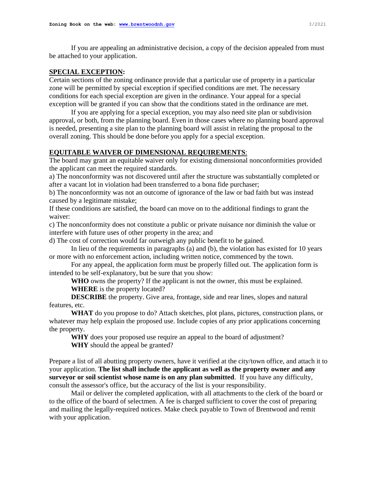If you are appealing an administrative decision, a copy of the decision appealed from must be attached to your application.

#### **SPECIAL EXCEPTION:**

Certain sections of the zoning ordinance provide that a particular use of property in a particular zone will be permitted by special exception if specified conditions are met. The necessary conditions for each special exception are given in the ordinance. Your appeal for a special exception will be granted if you can show that the conditions stated in the ordinance are met.

If you are applying for a special exception, you may also need site plan or subdivision approval, or both, from the planning board. Even in those cases where no planning board approval is needed, presenting a site plan to the planning board will assist in relating the proposal to the overall zoning. This should be done before you apply for a special exception.

#### **EQUITABLE WAIVER OF DIMENSIONAL REQUIREMENTS**:

The board may grant an equitable waiver only for existing dimensional nonconformities provided the applicant can meet the required standards.

a) The nonconformity was not discovered until after the structure was substantially completed or after a vacant lot in violation had been transferred to a bona fide purchaser;

b) The nonconformity was not an outcome of ignorance of the law or bad faith but was instead caused by a legitimate mistake;

If these conditions are satisfied, the board can move on to the additional findings to grant the waiver:

c) The nonconformity does not constitute a public or private nuisance nor diminish the value or interfere with future uses of other property in the area; and

d) The cost of correction would far outweigh any public benefit to be gained.

In lieu of the requirements in paragraphs (a) and (b), the violation has existed for 10 years or more with no enforcement action, including written notice, commenced by the town.

For any appeal, the application form must be properly filled out. The application form is intended to be self-explanatory, but be sure that you show:

**WHO** owns the property? If the applicant is not the owner, this must be explained. **WHERE** is the property located?

**DESCRIBE** the property. Give area, frontage, side and rear lines, slopes and natural features, etc.

**WHAT** do you propose to do? Attach sketches, plot plans, pictures, construction plans, or whatever may help explain the proposed use. Include copies of any prior applications concerning the property.

**WHY** does your proposed use require an appeal to the board of adjustment? **WHY** should the appeal be granted?

Prepare a list of all abutting property owners, have it verified at the city/town office, and attach it to your application. **The list shall include the applicant as well as the property owner and any surveyor or soil scientist whose name is on any plan submitted**. If you have any difficulty, consult the assessor's office, but the accuracy of the list is your responsibility.

Mail or deliver the completed application, with all attachments to the clerk of the board or to the office of the board of selectmen. A fee is charged sufficient to cover the cost of preparing and mailing the legally-required notices. Make check payable to Town of Brentwood and remit with your application.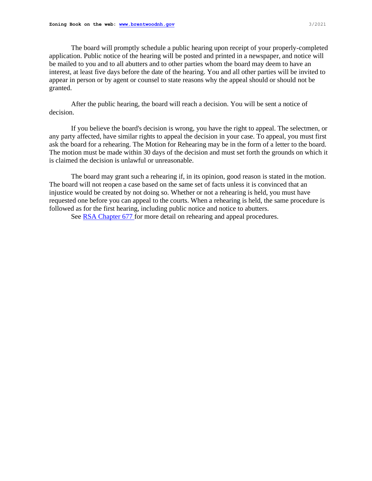The board will promptly schedule a public hearing upon receipt of your properly-completed application. Public notice of the hearing will be posted and printed in a newspaper, and notice will be mailed to you and to all abutters and to other parties whom the board may deem to have an interest, at least five days before the date of the hearing. You and all other parties will be invited to appear in person or by agent or counsel to state reasons why the appeal should or should not be granted.

After the public hearing, the board will reach a decision. You will be sent a notice of decision.

If you believe the board's decision is wrong, you have the right to appeal. The selectmen, or any party affected, have similar rights to appeal the decision in your case. To appeal, you must first ask the board for a rehearing. The Motion for Rehearing may be in the form of a letter to the board. The motion must be made within 30 days of the decision and must set forth the grounds on which it is claimed the decision is unlawful or unreasonable.

The board may grant such a rehearing if, in its opinion, good reason is stated in the motion. The board will not reopen a case based on the same set of facts unless it is convinced that an injustice would be created by not doing so. Whether or not a rehearing is held, you must have requested one before you can appeal to the courts. When a rehearing is held, the same procedure is followed as for the first hearing, including public notice and notice to abutters.

See **RSA** Chapter 677 for more detail on rehearing and appeal procedures.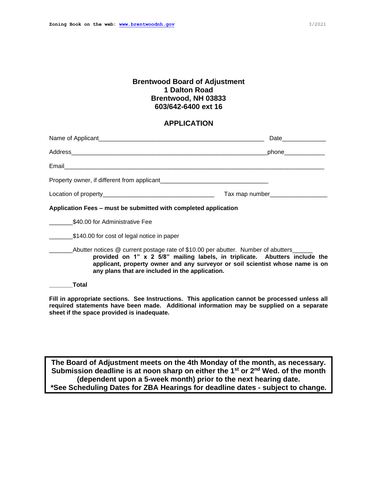# **Brentwood Board of Adjustment 1 Dalton Road Brentwood, NH 03833 603/642-6400 ext 16**

## **APPLICATION**

|                                                                                                                                                                                                                                                                                                      | Date               |
|------------------------------------------------------------------------------------------------------------------------------------------------------------------------------------------------------------------------------------------------------------------------------------------------------|--------------------|
|                                                                                                                                                                                                                                                                                                      | phone_____________ |
|                                                                                                                                                                                                                                                                                                      |                    |
|                                                                                                                                                                                                                                                                                                      |                    |
|                                                                                                                                                                                                                                                                                                      |                    |
| Application Fees – must be submitted with completed application                                                                                                                                                                                                                                      |                    |
| \$40.00 for Administrative Fee                                                                                                                                                                                                                                                                       |                    |
| \$140.00 for cost of legal notice in paper                                                                                                                                                                                                                                                           |                    |
| Abutter notices @ current postage rate of \$10.00 per abutter. Number of abutters<br>provided on 1" x 2 5/8" mailing labels, in triplicate. Abutters include the<br>applicant, property owner and any surveyor or soil scientist whose name is on<br>any plans that are included in the application. |                    |
| Total                                                                                                                                                                                                                                                                                                |                    |

**Fill in appropriate sections. See Instructions. This application cannot be processed unless all required statements have been made. Additional information may be supplied on a separate sheet if the space provided is inadequate.**

**The Board of Adjustment meets on the 4th Monday of the month, as necessary. Submission deadline is at noon sharp on either the 1st or 2nd Wed. of the month (dependent upon a 5-week month) prior to the next hearing date. \*See Scheduling Dates for ZBA Hearings for deadline dates - subject to change.**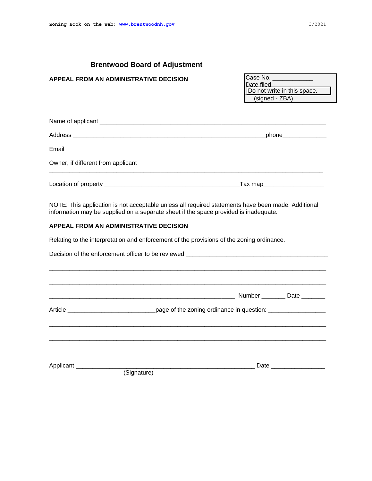# **Brentwood Board of Adjustment**

### **APPEAL FROM AN ADMINISTRATIVE DECISION**

Case No. Date filed Do not write in this space. (signed - ZBA)

|                                    | phone_______________         |
|------------------------------------|------------------------------|
|                                    |                              |
| Owner, if different from applicant |                              |
|                                    | _Tax map____________________ |

NOTE: This application is not acceptable unless all required statements have been made. Additional information may be supplied on a separate sheet if the space provided is inadequate.

### **APPEAL FROM AN ADMINISTRATIVE DECISION**

Relating to the interpretation and enforcement of the provisions of the zoning ordinance.

|                                 | Decision of the enforcement officer to be reviewed _____________________________                    |                                                                                                                 |
|---------------------------------|-----------------------------------------------------------------------------------------------------|-----------------------------------------------------------------------------------------------------------------|
|                                 |                                                                                                     | Number _________ Date ________                                                                                  |
|                                 | Article ______________________________page of the zoning ordinance in question: ___________________ |                                                                                                                 |
|                                 |                                                                                                     |                                                                                                                 |
| Applicant _____________________ | (Signature)                                                                                         | Date and the state of the state of the state of the state of the state of the state of the state of the state o |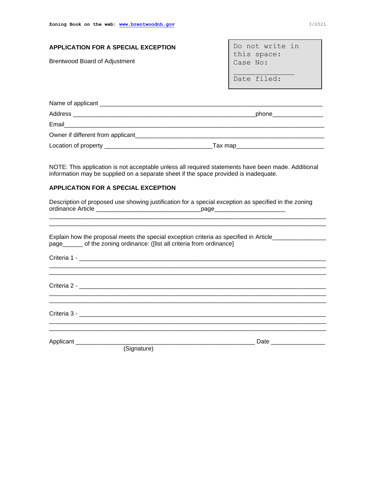| APPLICATION FOR A SPECIAL EXCEPTION<br><b>Brentwood Board of Adjustment</b> | Do not write in<br>this space:<br>Case No: |
|-----------------------------------------------------------------------------|--------------------------------------------|
|                                                                             | Date filed:                                |

|                                   | phone__________________ |  |
|-----------------------------------|-------------------------|--|
| Email                             |                         |  |
| Owner if different from applicant |                         |  |
|                                   | Tax map                 |  |

NOTE: This application is not acceptable unless all required statements have been made. Additional information may be supplied on a separate sheet if the space provided is inadequate.

#### **APPLICATION FOR A SPECIAL EXCEPTION**

Description of proposed use showing justification for a special exception as specified in the zoning ordinance Article \_\_\_\_\_\_\_\_\_\_\_\_\_\_\_\_\_\_\_\_\_\_\_\_\_\_\_\_\_\_\_page\_\_\_\_\_\_\_\_\_\_\_\_\_\_\_\_\_\_\_\_\_

\_\_\_\_\_\_\_\_\_\_\_\_\_\_\_\_\_\_\_\_\_\_\_\_\_\_\_\_\_\_\_\_\_\_\_\_\_\_\_\_\_\_\_\_\_\_\_\_\_\_\_\_\_\_\_\_\_\_\_\_\_\_\_\_\_\_\_\_\_\_\_\_\_\_\_\_\_\_\_\_\_\_

|       | Explain how the proposal meets the special exception criteria as specified in Article |
|-------|---------------------------------------------------------------------------------------|
| page_ | of the zoning ordinance: (flist all criteria from ordinance)                          |

 $C$ riteria 1 -  $\blacksquare$ \_\_\_\_\_\_\_\_\_\_\_\_\_\_\_\_\_\_\_\_\_\_\_\_\_\_\_\_\_\_\_\_\_\_\_\_\_\_\_\_\_\_\_\_\_\_\_\_\_\_\_\_\_\_\_\_\_\_\_\_\_\_\_\_\_\_\_\_\_\_\_\_\_\_\_\_\_\_\_\_\_\_ Criteria 2 - \_\_\_\_\_\_\_\_\_\_\_\_\_\_\_\_\_\_\_\_\_\_\_\_\_\_\_\_\_\_\_\_\_\_\_\_\_\_\_\_\_\_\_\_\_\_\_\_\_\_\_\_\_\_\_\_\_\_\_\_\_\_\_\_\_\_\_\_\_\_\_\_\_ \_\_\_\_\_\_\_\_\_\_\_\_\_\_\_\_\_\_\_\_\_\_\_\_\_\_\_\_\_\_\_\_\_\_\_\_\_\_\_\_\_\_\_\_\_\_\_\_\_\_\_\_\_\_\_\_\_\_\_\_\_\_\_\_\_\_\_\_\_\_\_\_\_\_\_\_\_\_\_\_\_\_ \_\_\_\_\_\_\_\_\_\_\_\_\_\_\_\_\_\_\_\_\_\_\_\_\_\_\_\_\_\_\_\_\_\_\_\_\_\_\_\_\_\_\_\_\_\_\_\_\_\_\_\_\_\_\_\_\_\_\_\_\_\_\_\_\_\_\_\_\_\_\_\_\_\_\_\_\_\_\_\_\_\_ Criteria 3 - \_\_\_\_\_\_\_\_\_\_\_\_\_\_\_\_\_\_\_\_\_\_\_\_\_\_\_\_\_\_\_\_\_\_\_\_\_\_\_\_\_\_\_\_\_\_\_\_\_\_\_\_\_\_\_\_\_\_\_\_\_\_\_\_\_\_\_\_\_\_\_\_\_ \_\_\_\_\_\_\_\_\_\_\_\_\_\_\_\_\_\_\_\_\_\_\_\_\_\_\_\_\_\_\_\_\_\_\_\_\_\_\_\_\_\_\_\_\_\_\_\_\_\_\_\_\_\_\_\_\_\_\_\_\_\_\_\_\_\_\_\_\_\_\_\_\_\_\_\_\_\_\_\_\_\_

Applicant \_\_\_\_\_\_\_\_\_\_\_\_\_\_\_\_\_\_\_\_\_\_\_\_\_\_\_\_\_\_\_\_\_\_\_\_\_\_\_\_\_\_\_\_\_\_\_\_\_\_\_\_\_ Date \_\_\_\_\_\_\_\_\_\_\_\_\_\_\_\_

(Signature)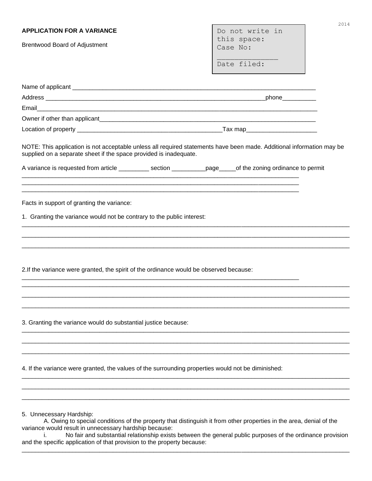| <b>APPLICATION FOR A VARIANCE</b>                                                                                                                                                          |  | Do not write in         | 2014 |
|--------------------------------------------------------------------------------------------------------------------------------------------------------------------------------------------|--|-------------------------|------|
| <b>Brentwood Board of Adjustment</b>                                                                                                                                                       |  | this space:<br>Case No: |      |
|                                                                                                                                                                                            |  |                         |      |
|                                                                                                                                                                                            |  | Date filed:             |      |
|                                                                                                                                                                                            |  |                         |      |
|                                                                                                                                                                                            |  |                         |      |
|                                                                                                                                                                                            |  |                         |      |
|                                                                                                                                                                                            |  |                         |      |
|                                                                                                                                                                                            |  |                         |      |
| NOTE: This application is not acceptable unless all required statements have been made. Additional information may be<br>supplied on a separate sheet if the space provided is inadequate. |  |                         |      |
| A variance is requested from article ____________ section ____________page______of the zoning ordinance to permit                                                                          |  |                         |      |
|                                                                                                                                                                                            |  |                         |      |
| Facts in support of granting the variance:                                                                                                                                                 |  |                         |      |
|                                                                                                                                                                                            |  |                         |      |
| 1. Granting the variance would not be contrary to the public interest:                                                                                                                     |  |                         |      |
|                                                                                                                                                                                            |  |                         |      |
|                                                                                                                                                                                            |  |                         |      |
|                                                                                                                                                                                            |  |                         |      |
| 2. If the variance were granted, the spirit of the ordinance would be observed because:                                                                                                    |  |                         |      |
|                                                                                                                                                                                            |  |                         |      |
|                                                                                                                                                                                            |  |                         |      |
|                                                                                                                                                                                            |  |                         |      |
|                                                                                                                                                                                            |  |                         |      |
| 3. Granting the variance would do substantial justice because:                                                                                                                             |  |                         |      |
|                                                                                                                                                                                            |  |                         |      |
|                                                                                                                                                                                            |  |                         |      |
| 4. If the variance were granted, the values of the surrounding properties would not be diminished:                                                                                         |  |                         |      |
|                                                                                                                                                                                            |  |                         |      |
|                                                                                                                                                                                            |  |                         |      |
|                                                                                                                                                                                            |  |                         |      |
| 5. Unnecessary Hardship:<br>A. Owing to special conditions of the property that distinguish it from other properties in the area, denial of the                                            |  |                         |      |

variance would result in unnecessary hardship because:<br>i. No fair and substantial relationship exists

No fair and substantial relationship exists between the general public purposes of the ordinance provision and the specific application of that provision to the property because: \_\_\_\_\_\_\_\_\_\_\_\_\_\_\_\_\_\_\_\_\_\_\_\_\_\_\_\_\_\_\_\_\_\_\_\_\_\_\_\_\_\_\_\_\_\_\_\_\_\_\_\_\_\_\_\_\_\_\_\_\_\_\_\_\_\_\_\_\_\_\_\_\_\_\_\_\_\_\_\_\_\_\_\_\_\_\_\_\_\_\_\_\_\_\_\_\_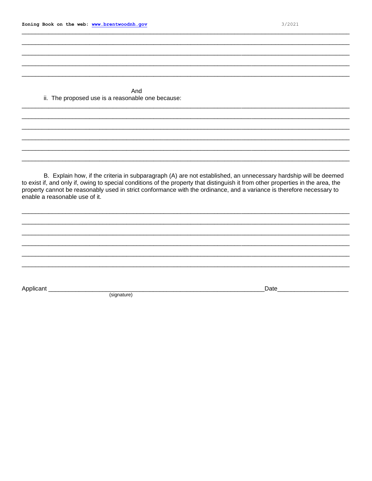And ii. The proposed use is a reasonable one because:

B. Explain how, if the criteria in subparagraph (A) are not established, an unnecessary hardship will be deemed to exist if, and only if, owing to special conditions of the property that distinguish it from other properties in the area, the property cannot be reasonably used in strict conformance with the ordinance, and a variance is therefore necessary to enable a reasonable use of it.

Applicant \_

(signature)

Date